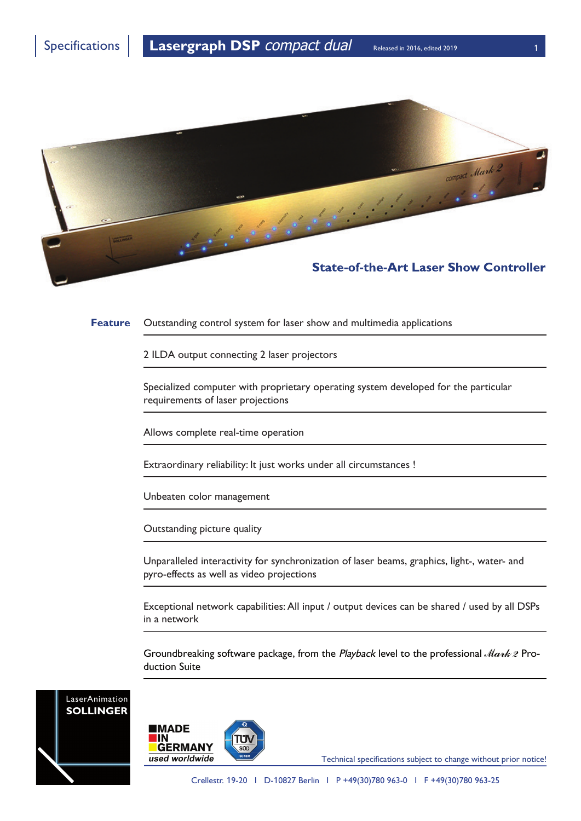

**Feature** Outstanding control system for laser show and multimedia applications

2 ILDA output connecting 2 laser projectors

Specialized computer with proprietary operating system developed for the particular requirements of laser projections

Allows complete real-time operation

Extraordinary reliability: It just works under all circumstances !

Unbeaten color management

Outstanding picture quality

Unparalleled interactivity for synchronization of laser beams, graphics, light-, water- and pyro-effects as well as video projections

Exceptional network capabilities: All input / output devices can be shared / used by all DSPs in a network

Groundbreaking software package, from the *Playback* level to the professional *Mark 2* Production Suite





Technical specifications subject to change without prior notice!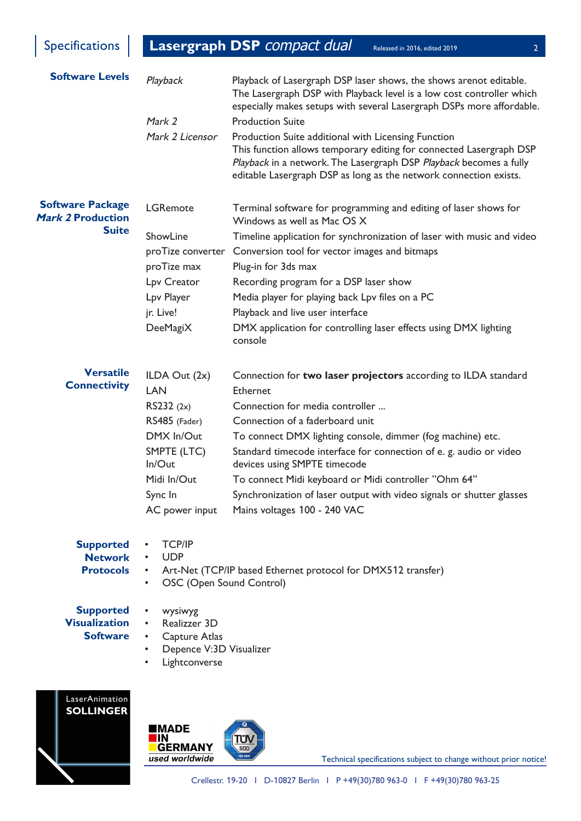Specifications **Lasergraph DSP** *compact dual* Released in 2016, edited 2019 22

| <b>Software Levels</b>                                       | Playback<br>Mark 2                                    | Playback of Lasergraph DSP laser shows, the shows arenot editable.<br>The Lasergraph DSP with Playback level is a low cost controller which<br>especially makes setups with several Lasergraph DSPs more affordable.<br><b>Production Suite</b>                       |
|--------------------------------------------------------------|-------------------------------------------------------|-----------------------------------------------------------------------------------------------------------------------------------------------------------------------------------------------------------------------------------------------------------------------|
|                                                              | Mark 2 Licensor                                       | Production Suite additional with Licensing Function<br>This function allows temporary editing for connected Lasergraph DSP<br>Playback in a network. The Lasergraph DSP Playback becomes a fully<br>editable Lasergraph DSP as long as the network connection exists. |
| <b>Software Package</b><br>Mark 2 Production<br><b>Suite</b> | <b>LGRemote</b>                                       | Terminal software for programming and editing of laser shows for<br>Windows as well as Mac OS X                                                                                                                                                                       |
|                                                              | ShowLine                                              | Timeline application for synchronization of laser with music and video                                                                                                                                                                                                |
|                                                              | proTize converter                                     | Conversion tool for vector images and bitmaps                                                                                                                                                                                                                         |
|                                                              | proTize max                                           | Plug-in for 3ds max                                                                                                                                                                                                                                                   |
|                                                              | Lpv Creator                                           | Recording program for a DSP laser show                                                                                                                                                                                                                                |
|                                                              | Lpv Player                                            | Media player for playing back Lpv files on a PC                                                                                                                                                                                                                       |
|                                                              | jr. Live!                                             | Playback and live user interface                                                                                                                                                                                                                                      |
|                                                              | DeeMagiX                                              | DMX application for controlling laser effects using DMX lighting<br>console                                                                                                                                                                                           |
| <b>Versatile</b><br><b>Connectivity</b>                      | ILDA Out $(2x)$                                       | Connection for two laser projectors according to ILDA standard                                                                                                                                                                                                        |
|                                                              | <b>LAN</b>                                            | Ethernet                                                                                                                                                                                                                                                              |
|                                                              | RS232 (2x)                                            | Connection for media controller                                                                                                                                                                                                                                       |
|                                                              | RS485 (Fader)<br>DMX In/Out                           | Connection of a faderboard unit                                                                                                                                                                                                                                       |
|                                                              | SMPTE (LTC)                                           | To connect DMX lighting console, dimmer (fog machine) etc.<br>Standard timecode interface for connection of e. g. audio or video                                                                                                                                      |
|                                                              | In/Out                                                | devices using SMPTE timecode                                                                                                                                                                                                                                          |
|                                                              | Midi In/Out                                           | To connect Midi keyboard or Midi controller "Ohm 64"                                                                                                                                                                                                                  |
|                                                              | Sync In                                               | Synchronization of laser output with video signals or shutter glasses                                                                                                                                                                                                 |
|                                                              | AC power input                                        | Mains voltages 100 - 240 VAC                                                                                                                                                                                                                                          |
| <b>Supported</b>                                             | <b>TCP/IP</b>                                         |                                                                                                                                                                                                                                                                       |
| <b>Network</b><br><b>Protocols</b>                           | <b>UDP</b><br>$\bullet$                               | Art-Net (TCP/IP based Ethernet protocol for DMX512 transfer)                                                                                                                                                                                                          |
|                                                              | OSC (Open Sound Control)<br>$\bullet$                 |                                                                                                                                                                                                                                                                       |
| <b>Supported</b>                                             | wysiwyg<br>$\bullet$                                  |                                                                                                                                                                                                                                                                       |
| <b>Visualization</b><br>Realizzer 3D<br>$\bullet$            |                                                       |                                                                                                                                                                                                                                                                       |
| <b>Software</b>                                              | Capture Atlas<br>$\bullet$                            |                                                                                                                                                                                                                                                                       |
|                                                              | Depence V:3D Visualizer<br>$\bullet$<br>Lightconverse |                                                                                                                                                                                                                                                                       |
| LaserAnimation                                               |                                                       |                                                                                                                                                                                                                                                                       |
|                                                              |                                                       |                                                                                                                                                                                                                                                                       |





Technical specifications subject to change without prior notice!